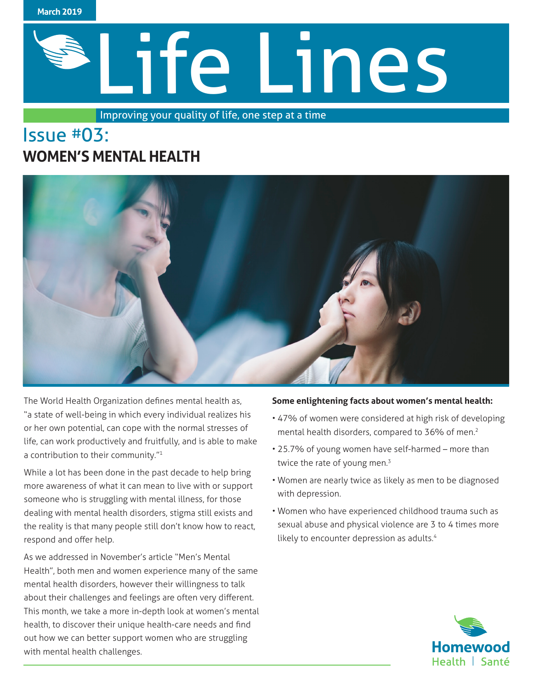

# Life Lines

Improving your quality of life, one step at a time

# Issue #03: **WOMEN'S MENTAL HEALTH**



The World Health Organization defines mental health as, "a state of well-being in which every individual realizes his or her own potential, can cope with the normal stresses of life, can work productively and fruitfully, and is able to make a contribution to their community."<sup>1</sup>

While a lot has been done in the past decade to help bring more awareness of what it can mean to live with or support someone who is struggling with mental illness, for those dealing with mental health disorders, stigma still exists and the reality is that many people still don't know how to react, respond and offer help.

As we addressed in November's article "Men's Mental Health", both men and women experience many of the same mental health disorders, however their willingness to talk about their challenges and feelings are often very different. This month, we take a more in-depth look at women's mental health, to discover their unique health-care needs and find out how we can better support women who are struggling with mental health challenges.

#### **Some enlightening facts about women's mental health:**

- 47% of women were considered at high risk of developing mental health disorders, compared to 36% of men.<sup>2</sup>
- 25.7% of young women have self-harmed more than twice the rate of young men.<sup>3</sup>
- Women are nearly twice as likely as men to be diagnosed with depression.
- Women who have experienced childhood trauma such as sexual abuse and physical violence are 3 to 4 times more likely to encounter depression as adults.<sup>4</sup>

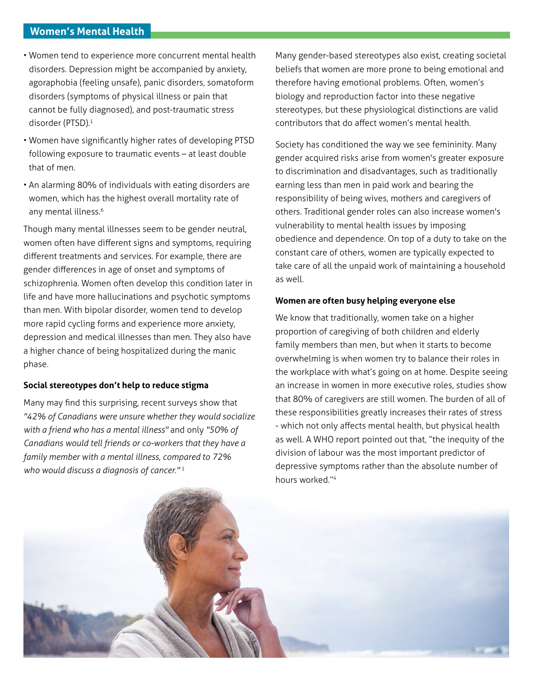# **Women's Mental Health**

- Women tend to experience more concurrent mental health disorders. Depression might be accompanied by anxiety, agoraphobia (feeling unsafe), panic disorders, somatoform disorders (symptoms of physical illness or pain that cannot be fully diagnosed), and post-traumatic stress disorder (PTSD).1
- Women have significantly higher rates of developing PTSD following exposure to traumatic events – at least double that of men.
- An alarming 80% of individuals with eating disorders are women, which has the highest overall mortality rate of any mental illness.<sup>6</sup>

Though many mental illnesses seem to be gender neutral, women often have different signs and symptoms, requiring different treatments and services. For example, there are gender differences in age of onset and symptoms of schizophrenia. Women often develop this condition later in life and have more hallucinations and psychotic symptoms than men. With bipolar disorder, women tend to develop more rapid cycling forms and experience more anxiety, depression and medical illnesses than men. They also have a higher chance of being hospitalized during the manic phase.

#### **Social stereotypes don't help to reduce stigma**

Many may find this surprising, recent surveys show that *"42% of Canadians were unsure whether they would socialize with a friend who has a mental illness"* and only *"50% of Canadians would tell friends or co-workers that they have a family member with a mental illness, compared to 72% who would discuss a diagnosis of cancer."* <sup>1</sup>

Many gender-based stereotypes also exist, creating societal beliefs that women are more prone to being emotional and therefore having emotional problems. Often, women's biology and reproduction factor into these negative stereotypes, but these physiological distinctions are valid contributors that do affect women's mental health.

Society has conditioned the way we see femininity. Many gender acquired risks arise from women's greater exposure to discrimination and disadvantages, such as traditionally earning less than men in paid work and bearing the responsibility of being wives, mothers and caregivers of others. Traditional gender roles can also increase women's vulnerability to mental health issues by imposing obedience and dependence. On top of a duty to take on the constant care of others, women are typically expected to take care of all the unpaid work of maintaining a household as well.

#### **Women are often busy helping everyone else**

We know that traditionally, women take on a higher proportion of caregiving of both children and elderly family members than men, but when it starts to become overwhelming is when women try to balance their roles in the workplace with what's going on at home. Despite seeing an increase in women in more executive roles, studies show that 80% of caregivers are still women. The burden of all of these responsibilities greatly increases their rates of stress - which not only affects mental health, but physical health as well. A WHO report pointed out that, "the inequity of the division of labour was the most important predictor of depressive symptoms rather than the absolute number of hours worked."<sup>4</sup>

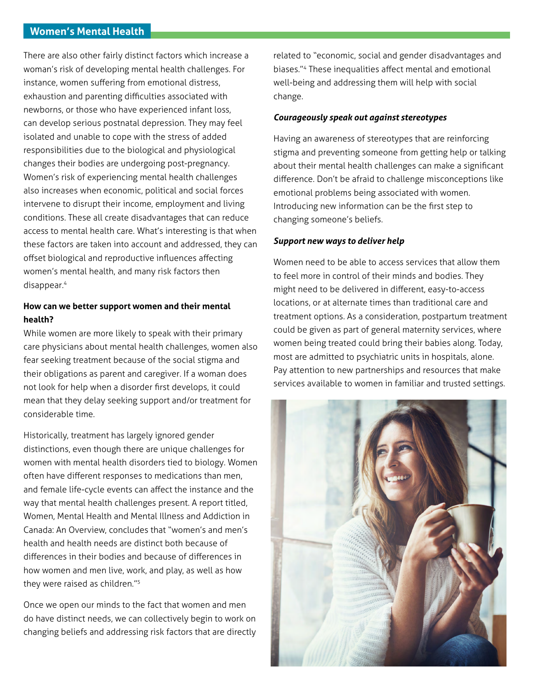### **Women's Mental Health**

There are also other fairly distinct factors which increase a woman's risk of developing mental health challenges. For instance, women suffering from emotional distress, exhaustion and parenting difficulties associated with newborns, or those who have experienced infant loss, can develop serious postnatal depression. They may feel isolated and unable to cope with the stress of added responsibilities due to the biological and physiological changes their bodies are undergoing post-pregnancy. Women's risk of experiencing mental health challenges also increases when economic, political and social forces intervene to disrupt their income, employment and living conditions. These all create disadvantages that can reduce access to mental health care. What's interesting is that when these factors are taken into account and addressed, they can offset biological and reproductive influences affecting women's mental health, and many risk factors then disappear.4

# **How can we better support women and their mental health?**

While women are more likely to speak with their primary care physicians about mental health challenges, women also fear seeking treatment because of the social stigma and their obligations as parent and caregiver. If a woman does not look for help when a disorder first develops, it could mean that they delay seeking support and/or treatment for considerable time.

Historically, treatment has largely ignored gender distinctions, even though there are unique challenges for women with mental health disorders tied to biology. Women often have different responses to medications than men, and female life-cycle events can affect the instance and the way that mental health challenges present. A report titled, Women, Mental Health and Mental Illness and Addiction in Canada: An Overview, concludes that "women's and men's health and health needs are distinct both because of differences in their bodies and because of differences in how women and men live, work, and play, as well as how they were raised as children."5

Once we open our minds to the fact that women and men do have distinct needs, we can collectively begin to work on changing beliefs and addressing risk factors that are directly related to "economic, social and gender disadvantages and biases."4 These inequalities affect mental and emotional well-being and addressing them will help with social change.

#### *Courageously speak out against stereotypes*

Having an awareness of stereotypes that are reinforcing stigma and preventing someone from getting help or talking about their mental health challenges can make a significant difference. Don't be afraid to challenge misconceptions like emotional problems being associated with women. Introducing new information can be the first step to changing someone's beliefs.

#### *Support new ways to deliver help*

Women need to be able to access services that allow them to feel more in control of their minds and bodies. They might need to be delivered in different, easy-to-access locations, or at alternate times than traditional care and treatment options. As a consideration, postpartum treatment could be given as part of general maternity services, where women being treated could bring their babies along. Today, most are admitted to psychiatric units in hospitals, alone. Pay attention to new partnerships and resources that make services available to women in familiar and trusted settings.